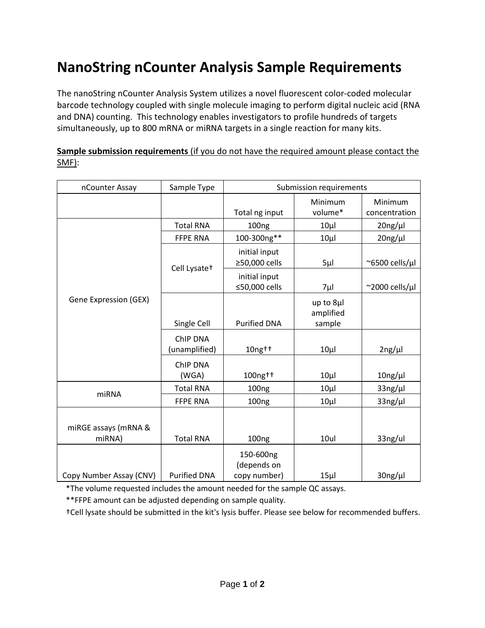## **NanoString nCounter Analysis Sample Requirements**

The nanoString nCounter Analysis System utilizes a novel fluorescent color-coded molecular barcode technology coupled with single molecule imaging to perform digital nucleic acid (RNA and DNA) counting. This technology enables investigators to profile hundreds of targets simultaneously, up to 800 mRNA or miRNA targets in a single reaction for many kits.

| nCounter Assay                 | Sample Type               | Submission requirements                  |                        |                          |
|--------------------------------|---------------------------|------------------------------------------|------------------------|--------------------------|
|                                |                           | Total ng input                           | Minimum<br>volume*     | Minimum<br>concentration |
| Gene Expression (GEX)          | <b>Total RNA</b>          | 100 <sub>ng</sub>                        | $10\mu$                | $20$ ng/µl               |
|                                | <b>FFPE RNA</b>           | 100-300ng**                              | $10\mu$                | $20ng/\mu l$             |
|                                | Cell Lysate+              | initial input<br>≥50,000 cells           | $5\mu$                 | $\approx$ 6500 cells/µl  |
|                                |                           | initial input<br>≤50,000 cells           | 7µl                    | $\approx$ 2000 cells/µl  |
|                                |                           |                                          | up to 8µl<br>amplified |                          |
|                                | Single Cell               | <b>Purified DNA</b>                      | sample                 |                          |
|                                | ChIP DNA<br>(unamplified) | $10$ ng $\dagger$                        | $10\mu$                | 2ng/µl                   |
|                                | ChIP DNA<br>(WGA)         | 100ng++                                  | $10\mu$                | $10$ ng/ $\mu$ l         |
| miRNA                          | <b>Total RNA</b>          | 100 <sub>ng</sub>                        | $10\mu$                | $33$ ng/µl               |
|                                | <b>FFPE RNA</b>           | 100 <sub>ng</sub>                        | $10\mu$                | $33$ ng/ $\mu$ l         |
| miRGE assays (mRNA &<br>miRNA) | <b>Total RNA</b>          | 100ng                                    | 10ul                   | 33ng/ul                  |
| Copy Number Assay (CNV)        | <b>Purified DNA</b>       | 150-600ng<br>(depends on<br>copy number) | $15\mu$                | 30ng/µl                  |

## **Sample submission requirements** (if you do not have the required amount please contact the SMF):

\*The volume requested includes the amount needed for the sample QC assays.

\*\*FFPE amount can be adjusted depending on sample quality.

†Cell lysate should be submitted in the kit's lysis buffer. Please see below for recommended buffers.